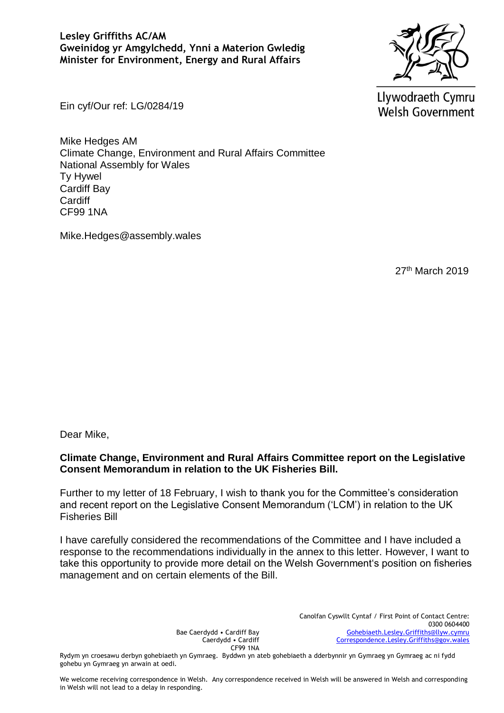#### **Lesley Griffiths AC/AM Gweinidog yr Amgylchedd, Ynni a Materion Gwledig Minister for Environment, Energy and Rural Affairs**



Llywodraeth Cymru **Welsh Government** 

Ein cyf/Our ref: LG/0284/19

Mike Hedges AM Climate Change, Environment and Rural Affairs Committee National Assembly for Wales Ty Hywel Cardiff Bay Cardiff CF99 1NA

Mike.Hedges@assembly.wales

27th March 2019

Dear Mike,

## **Climate Change, Environment and Rural Affairs Committee report on the Legislative Consent Memorandum in relation to the UK Fisheries Bill.**

Further to my letter of 18 February, I wish to thank you for the Committee's consideration and recent report on the Legislative Consent Memorandum ('LCM') in relation to the UK Fisheries Bill

I have carefully considered the recommendations of the Committee and I have included a response to the recommendations individually in the annex to this letter. However, I want to take this opportunity to provide more detail on the Welsh Government's position on fisheries management and on certain elements of the Bill.

> Bae Caerdydd • Cardiff Bay Caerdydd • Cardiff CF99 1NA

Canolfan Cyswllt Cyntaf / First Point of Contact Centre: 0300 0604400 [Gohebiaeth.Lesley.Griffiths@llyw.cymru](mailto:Gohebiaeth.Lesley.Griffiths@llyw.cymru) [Correspondence.Lesley.Griffiths@gov.wales](mailto:Correspondence.Lesley.Griffiths@gov.wales)

Rydym yn croesawu derbyn gohebiaeth yn Gymraeg. Byddwn yn ateb gohebiaeth a dderbynnir yn Gymraeg yn Gymraeg ac ni fydd gohebu yn Gymraeg yn arwain at oedi.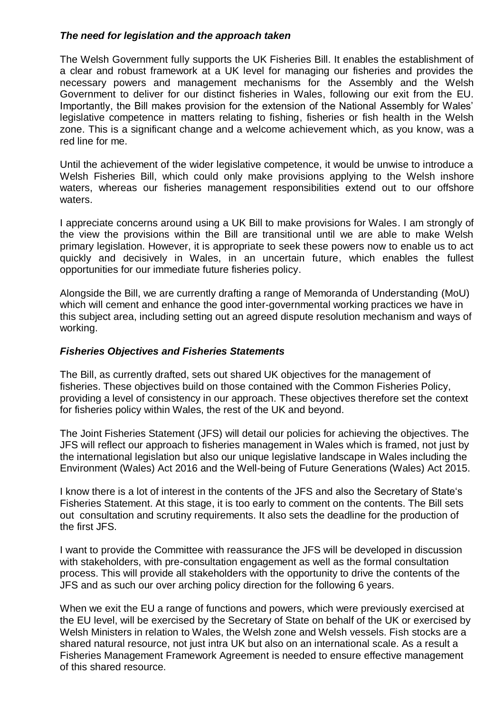#### *The need for legislation and the approach taken*

The Welsh Government fully supports the UK Fisheries Bill. It enables the establishment of a clear and robust framework at a UK level for managing our fisheries and provides the necessary powers and management mechanisms for the Assembly and the Welsh Government to deliver for our distinct fisheries in Wales, following our exit from the EU. Importantly, the Bill makes provision for the extension of the National Assembly for Wales' legislative competence in matters relating to fishing, fisheries or fish health in the Welsh zone. This is a significant change and a welcome achievement which, as you know, was a red line for me.

Until the achievement of the wider legislative competence, it would be unwise to introduce a Welsh Fisheries Bill, which could only make provisions applying to the Welsh inshore waters, whereas our fisheries management responsibilities extend out to our offshore waters.

I appreciate concerns around using a UK Bill to make provisions for Wales. I am strongly of the view the provisions within the Bill are transitional until we are able to make Welsh primary legislation. However, it is appropriate to seek these powers now to enable us to act quickly and decisively in Wales, in an uncertain future, which enables the fullest opportunities for our immediate future fisheries policy.

Alongside the Bill, we are currently drafting a range of Memoranda of Understanding (MoU) which will cement and enhance the good inter-governmental working practices we have in this subject area, including setting out an agreed dispute resolution mechanism and ways of working.

## *Fisheries Objectives and Fisheries Statements*

The Bill, as currently drafted, sets out shared UK objectives for the management of fisheries. These objectives build on those contained with the Common Fisheries Policy, providing a level of consistency in our approach. These objectives therefore set the context for fisheries policy within Wales, the rest of the UK and beyond.

The Joint Fisheries Statement (JFS) will detail our policies for achieving the objectives. The JFS will reflect our approach to fisheries management in Wales which is framed, not just by the international legislation but also our unique legislative landscape in Wales including the Environment (Wales) Act 2016 and the Well-being of Future Generations (Wales) Act 2015.

I know there is a lot of interest in the contents of the JFS and also the Secretary of State's Fisheries Statement. At this stage, it is too early to comment on the contents. The Bill sets out consultation and scrutiny requirements. It also sets the deadline for the production of the first JFS.

I want to provide the Committee with reassurance the JFS will be developed in discussion with stakeholders, with pre-consultation engagement as well as the formal consultation process. This will provide all stakeholders with the opportunity to drive the contents of the JFS and as such our over arching policy direction for the following 6 years.

When we exit the EU a range of functions and powers, which were previously exercised at the EU level, will be exercised by the Secretary of State on behalf of the UK or exercised by Welsh Ministers in relation to Wales, the Welsh zone and Welsh vessels. Fish stocks are a shared natural resource, not just intra UK but also on an international scale. As a result a Fisheries Management Framework Agreement is needed to ensure effective management of this shared resource.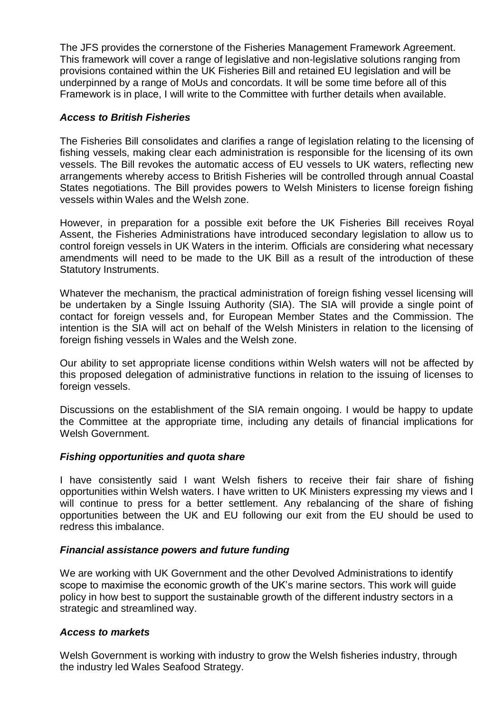The JFS provides the cornerstone of the Fisheries Management Framework Agreement. This framework will cover a range of legislative and non-legislative solutions ranging from provisions contained within the UK Fisheries Bill and retained EU legislation and will be underpinned by a range of MoUs and concordats. It will be some time before all of this Framework is in place, I will write to the Committee with further details when available.

## *Access to British Fisheries*

The Fisheries Bill consolidates and clarifies a range of legislation relating to the licensing of fishing vessels, making clear each administration is responsible for the licensing of its own vessels. The Bill revokes the automatic access of EU vessels to UK waters, reflecting new arrangements whereby access to British Fisheries will be controlled through annual Coastal States negotiations. The Bill provides powers to Welsh Ministers to license foreign fishing vessels within Wales and the Welsh zone.

However, in preparation for a possible exit before the UK Fisheries Bill receives Royal Assent, the Fisheries Administrations have introduced secondary legislation to allow us to control foreign vessels in UK Waters in the interim. Officials are considering what necessary amendments will need to be made to the UK Bill as a result of the introduction of these Statutory Instruments.

Whatever the mechanism, the practical administration of foreign fishing vessel licensing will be undertaken by a Single Issuing Authority (SIA). The SIA will provide a single point of contact for foreign vessels and, for European Member States and the Commission. The intention is the SIA will act on behalf of the Welsh Ministers in relation to the licensing of foreign fishing vessels in Wales and the Welsh zone.

Our ability to set appropriate license conditions within Welsh waters will not be affected by this proposed delegation of administrative functions in relation to the issuing of licenses to foreign vessels.

Discussions on the establishment of the SIA remain ongoing. I would be happy to update the Committee at the appropriate time, including any details of financial implications for Welsh Government.

#### *Fishing opportunities and quota share*

I have consistently said I want Welsh fishers to receive their fair share of fishing opportunities within Welsh waters. I have written to UK Ministers expressing my views and I will continue to press for a better settlement. Any rebalancing of the share of fishing opportunities between the UK and EU following our exit from the EU should be used to redress this imbalance.

#### *Financial assistance powers and future funding*

We are working with UK Government and the other Devolved Administrations to identify scope to maximise the economic growth of the UK's marine sectors. This work will guide policy in how best to support the sustainable growth of the different industry sectors in a strategic and streamlined way.

# *Access to markets*

Welsh Government is working with industry to grow the Welsh fisheries industry, through the industry led Wales Seafood Strategy.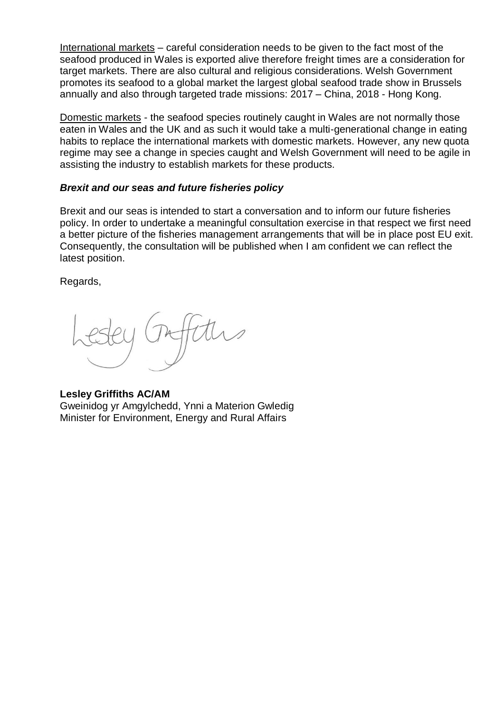International markets – careful consideration needs to be given to the fact most of the seafood produced in Wales is exported alive therefore freight times are a consideration for target markets. There are also cultural and religious considerations. Welsh Government promotes its seafood to a global market the largest global seafood trade show in Brussels annually and also through targeted trade missions: 2017 – China, 2018 - Hong Kong.

Domestic markets - the seafood species routinely caught in Wales are not normally those eaten in Wales and the UK and as such it would take a multi-generational change in eating habits to replace the international markets with domestic markets. However, any new quota regime may see a change in species caught and Welsh Government will need to be agile in assisting the industry to establish markets for these products.

#### *Brexit and our seas and future fisheries policy*

Brexit and our seas is intended to start a conversation and to inform our future fisheries policy. In order to undertake a meaningful consultation exercise in that respect we first need a better picture of the fisheries management arrangements that will be in place post EU exit. Consequently, the consultation will be published when I am confident we can reflect the latest position.

Regards,

**Lesley Griffiths AC/AM** Gweinidog yr Amgylchedd, Ynni a Materion Gwledig Minister for Environment, Energy and Rural Affairs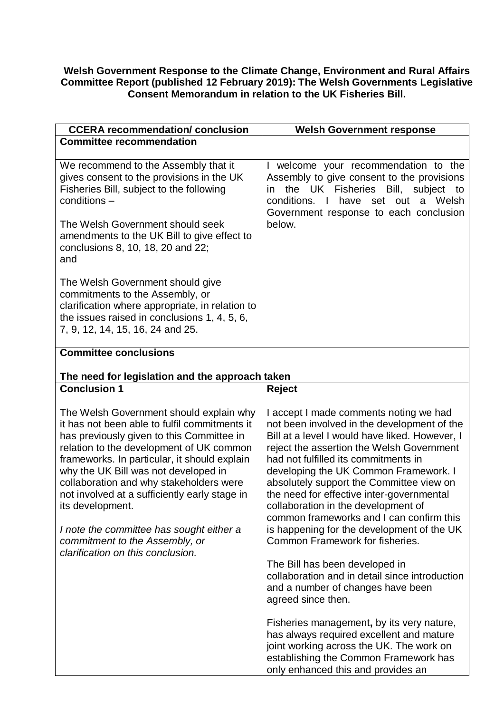#### **Welsh Government Response to the Climate Change, Environment and Rural Affairs Committee Report (published 12 February 2019): The Welsh Governments Legislative Consent Memorandum in relation to the UK Fisheries Bill.**

| <b>CCERA recommendation/ conclusion</b>                                                                                                                                                                                                                                                                                                                                                                                                                                                                      | <b>Welsh Government response</b>                                                                                                                                                                                                                                                                                                                                                                                                                                                                                                   |
|--------------------------------------------------------------------------------------------------------------------------------------------------------------------------------------------------------------------------------------------------------------------------------------------------------------------------------------------------------------------------------------------------------------------------------------------------------------------------------------------------------------|------------------------------------------------------------------------------------------------------------------------------------------------------------------------------------------------------------------------------------------------------------------------------------------------------------------------------------------------------------------------------------------------------------------------------------------------------------------------------------------------------------------------------------|
| <b>Committee recommendation</b>                                                                                                                                                                                                                                                                                                                                                                                                                                                                              |                                                                                                                                                                                                                                                                                                                                                                                                                                                                                                                                    |
| We recommend to the Assembly that it<br>gives consent to the provisions in the UK<br>Fisheries Bill, subject to the following<br>$conditions -$                                                                                                                                                                                                                                                                                                                                                              | I welcome your recommendation to the<br>Assembly to give consent to the provisions<br>the UK Fisheries Bill, subject to<br>in.<br>conditions. I<br>have set out<br>a Welsh<br>Government response to each conclusion                                                                                                                                                                                                                                                                                                               |
| The Welsh Government should seek<br>amendments to the UK Bill to give effect to<br>conclusions 8, 10, 18, 20 and 22;<br>and                                                                                                                                                                                                                                                                                                                                                                                  | below.                                                                                                                                                                                                                                                                                                                                                                                                                                                                                                                             |
| The Welsh Government should give<br>commitments to the Assembly, or<br>clarification where appropriate, in relation to<br>the issues raised in conclusions 1, 4, 5, 6,<br>7, 9, 12, 14, 15, 16, 24 and 25.                                                                                                                                                                                                                                                                                                   |                                                                                                                                                                                                                                                                                                                                                                                                                                                                                                                                    |
| <b>Committee conclusions</b>                                                                                                                                                                                                                                                                                                                                                                                                                                                                                 |                                                                                                                                                                                                                                                                                                                                                                                                                                                                                                                                    |
| The need for legislation and the approach taken                                                                                                                                                                                                                                                                                                                                                                                                                                                              |                                                                                                                                                                                                                                                                                                                                                                                                                                                                                                                                    |
| <b>Conclusion 1</b>                                                                                                                                                                                                                                                                                                                                                                                                                                                                                          | Reject                                                                                                                                                                                                                                                                                                                                                                                                                                                                                                                             |
| The Welsh Government should explain why<br>it has not been able to fulfil commitments it<br>has previously given to this Committee in<br>relation to the development of UK common<br>frameworks. In particular, it should explain<br>why the UK Bill was not developed in<br>collaboration and why stakeholders were<br>not involved at a sufficiently early stage in<br>its development.<br>I note the committee has sought either a<br>commitment to the Assembly, or<br>clarification on this conclusion. | I accept I made comments noting we had<br>not been involved in the development of the<br>Bill at a level I would have liked. However, I<br>reject the assertion the Welsh Government<br>had not fulfilled its commitments in<br>developing the UK Common Framework. I<br>absolutely support the Committee view on<br>the need for effective inter-governmental<br>collaboration in the development of<br>common frameworks and I can confirm this<br>is happening for the development of the UK<br>Common Framework for fisheries. |
|                                                                                                                                                                                                                                                                                                                                                                                                                                                                                                              | The Bill has been developed in<br>collaboration and in detail since introduction<br>and a number of changes have been<br>agreed since then.                                                                                                                                                                                                                                                                                                                                                                                        |
|                                                                                                                                                                                                                                                                                                                                                                                                                                                                                                              | Fisheries management, by its very nature,<br>has always required excellent and mature<br>joint working across the UK. The work on<br>establishing the Common Framework has<br>only enhanced this and provides an                                                                                                                                                                                                                                                                                                                   |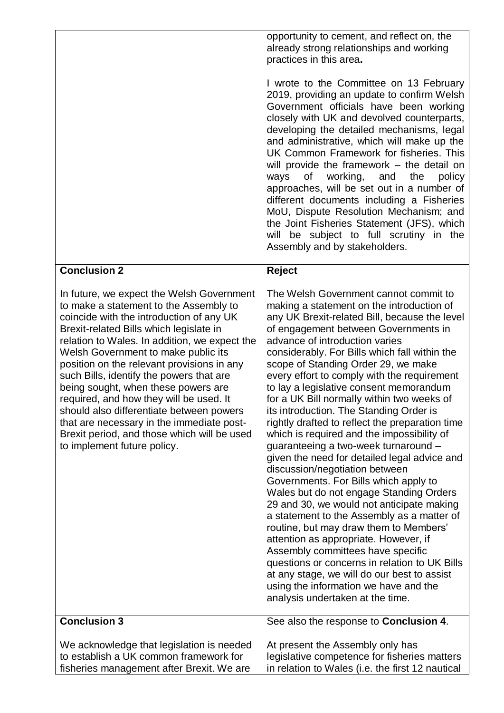|                                                                                                                                                                                                                                                                                                                                                                                                                                                                                                                                                                                                                       | opportunity to cement, and reflect on, the<br>already strong relationships and working<br>practices in this area.<br>I wrote to the Committee on 13 February<br>2019, providing an update to confirm Welsh<br>Government officials have been working<br>closely with UK and devolved counterparts,<br>developing the detailed mechanisms, legal<br>and administrative, which will make up the<br>UK Common Framework for fisheries. This<br>will provide the framework $-$ the detail on<br>ways<br>οf<br>working,<br>the<br>and<br>policy<br>approaches, will be set out in a number of<br>different documents including a Fisheries<br>MoU, Dispute Resolution Mechanism; and<br>the Joint Fisheries Statement (JFS), which<br>will be subject to full scrutiny in the<br>Assembly and by stakeholders.                                                                                                                                                                                                                                                                                                                                                                                               |
|-----------------------------------------------------------------------------------------------------------------------------------------------------------------------------------------------------------------------------------------------------------------------------------------------------------------------------------------------------------------------------------------------------------------------------------------------------------------------------------------------------------------------------------------------------------------------------------------------------------------------|---------------------------------------------------------------------------------------------------------------------------------------------------------------------------------------------------------------------------------------------------------------------------------------------------------------------------------------------------------------------------------------------------------------------------------------------------------------------------------------------------------------------------------------------------------------------------------------------------------------------------------------------------------------------------------------------------------------------------------------------------------------------------------------------------------------------------------------------------------------------------------------------------------------------------------------------------------------------------------------------------------------------------------------------------------------------------------------------------------------------------------------------------------------------------------------------------------|
| <b>Conclusion 2</b>                                                                                                                                                                                                                                                                                                                                                                                                                                                                                                                                                                                                   | <b>Reject</b>                                                                                                                                                                                                                                                                                                                                                                                                                                                                                                                                                                                                                                                                                                                                                                                                                                                                                                                                                                                                                                                                                                                                                                                           |
| In future, we expect the Welsh Government<br>to make a statement to the Assembly to<br>coincide with the introduction of any UK<br>Brexit-related Bills which legislate in<br>relation to Wales. In addition, we expect the<br>Welsh Government to make public its<br>position on the relevant provisions in any<br>such Bills, identify the powers that are<br>being sought, when these powers are<br>required, and how they will be used. It<br>should also differentiate between powers<br>that are necessary in the immediate post-<br>Brexit period, and those which will be used<br>to implement future policy. | The Welsh Government cannot commit to<br>making a statement on the introduction of<br>any UK Brexit-related Bill, because the level<br>of engagement between Governments in<br>advance of introduction varies<br>considerably. For Bills which fall within the<br>scope of Standing Order 29, we make<br>every effort to comply with the requirement<br>to lay a legislative consent memorandum<br>for a UK Bill normally within two weeks of<br>its introduction. The Standing Order is<br>rightly drafted to reflect the preparation time<br>which is required and the impossibility of<br>guaranteeing a two-week turnaround -<br>given the need for detailed legal advice and<br>discussion/negotiation between<br>Governments. For Bills which apply to<br>Wales but do not engage Standing Orders<br>29 and 30, we would not anticipate making<br>a statement to the Assembly as a matter of<br>routine, but may draw them to Members'<br>attention as appropriate. However, if<br>Assembly committees have specific<br>questions or concerns in relation to UK Bills<br>at any stage, we will do our best to assist<br>using the information we have and the<br>analysis undertaken at the time. |
| <b>Conclusion 3</b>                                                                                                                                                                                                                                                                                                                                                                                                                                                                                                                                                                                                   | See also the response to <b>Conclusion 4</b> .                                                                                                                                                                                                                                                                                                                                                                                                                                                                                                                                                                                                                                                                                                                                                                                                                                                                                                                                                                                                                                                                                                                                                          |
| We acknowledge that legislation is needed<br>to establish a UK common framework for<br>fisheries management after Brexit. We are                                                                                                                                                                                                                                                                                                                                                                                                                                                                                      | At present the Assembly only has<br>legislative competence for fisheries matters<br>in relation to Wales (i.e. the first 12 nautical                                                                                                                                                                                                                                                                                                                                                                                                                                                                                                                                                                                                                                                                                                                                                                                                                                                                                                                                                                                                                                                                    |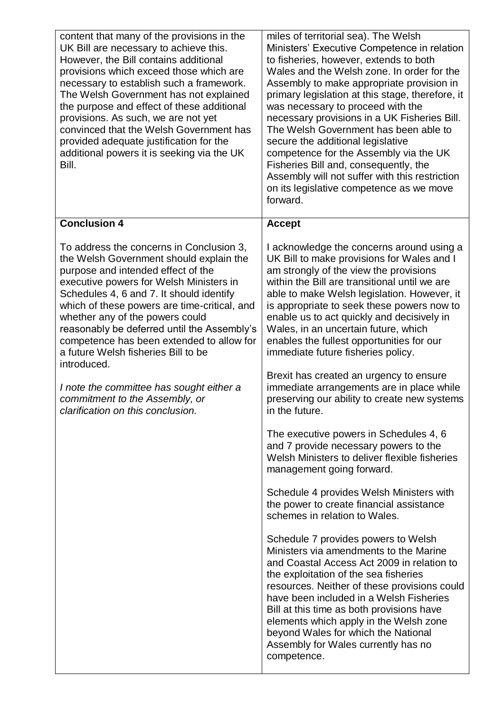| content that many of the provisions in the<br>UK Bill are necessary to achieve this.<br>However, the Bill contains additional<br>provisions which exceed those which are<br>necessary to establish such a framework.<br>The Welsh Government has not explained<br>the purpose and effect of these additional<br>provisions. As such, we are not yet<br>convinced that the Welsh Government has<br>provided adequate justification for the<br>additional powers it is seeking via the UK<br>Bill. | miles of territorial sea). The Welsh<br>Ministers' Executive Competence in relation<br>to fisheries, however, extends to both<br>Wales and the Welsh zone. In order for the<br>Assembly to make appropriate provision in<br>primary legislation at this stage, therefore, it<br>was necessary to proceed with the<br>necessary provisions in a UK Fisheries Bill.<br>The Welsh Government has been able to<br>secure the additional legislative<br>competence for the Assembly via the UK<br>Fisheries Bill and, consequently, the<br>Assembly will not suffer with this restriction<br>on its legislative competence as we move<br>forward. |
|--------------------------------------------------------------------------------------------------------------------------------------------------------------------------------------------------------------------------------------------------------------------------------------------------------------------------------------------------------------------------------------------------------------------------------------------------------------------------------------------------|----------------------------------------------------------------------------------------------------------------------------------------------------------------------------------------------------------------------------------------------------------------------------------------------------------------------------------------------------------------------------------------------------------------------------------------------------------------------------------------------------------------------------------------------------------------------------------------------------------------------------------------------|
| <b>Conclusion 4</b>                                                                                                                                                                                                                                                                                                                                                                                                                                                                              | <b>Accept</b>                                                                                                                                                                                                                                                                                                                                                                                                                                                                                                                                                                                                                                |
| To address the concerns in Conclusion 3,<br>the Welsh Government should explain the<br>purpose and intended effect of the<br>executive powers for Welsh Ministers in<br>Schedules 4, 6 and 7. It should identify<br>which of these powers are time-critical, and<br>whether any of the powers could<br>reasonably be deferred until the Assembly's<br>competence has been extended to allow for<br>a future Welsh fisheries Bill to be<br>introduced.                                            | I acknowledge the concerns around using a<br>UK Bill to make provisions for Wales and I<br>am strongly of the view the provisions<br>within the Bill are transitional until we are<br>able to make Welsh legislation. However, it<br>is appropriate to seek these powers now to<br>enable us to act quickly and decisively in<br>Wales, in an uncertain future, which<br>enables the fullest opportunities for our<br>immediate future fisheries policy.                                                                                                                                                                                     |
| I note the committee has sought either a<br>commitment to the Assembly, or<br>clarification on this conclusion.                                                                                                                                                                                                                                                                                                                                                                                  | Brexit has created an urgency to ensure<br>immediate arrangements are in place while<br>preserving our ability to create new systems<br>in the future.                                                                                                                                                                                                                                                                                                                                                                                                                                                                                       |
|                                                                                                                                                                                                                                                                                                                                                                                                                                                                                                  | The executive powers in Schedules 4, 6<br>and 7 provide necessary powers to the<br>Welsh Ministers to deliver flexible fisheries<br>management going forward.                                                                                                                                                                                                                                                                                                                                                                                                                                                                                |
|                                                                                                                                                                                                                                                                                                                                                                                                                                                                                                  | Schedule 4 provides Welsh Ministers with<br>the power to create financial assistance<br>schemes in relation to Wales.                                                                                                                                                                                                                                                                                                                                                                                                                                                                                                                        |
|                                                                                                                                                                                                                                                                                                                                                                                                                                                                                                  | Schedule 7 provides powers to Welsh<br>Ministers via amendments to the Marine<br>and Coastal Access Act 2009 in relation to<br>the exploitation of the sea fisheries<br>resources. Neither of these provisions could<br>have been included in a Welsh Fisheries<br>Bill at this time as both provisions have<br>elements which apply in the Welsh zone<br>beyond Wales for which the National<br>Assembly for Wales currently has no<br>competence.                                                                                                                                                                                          |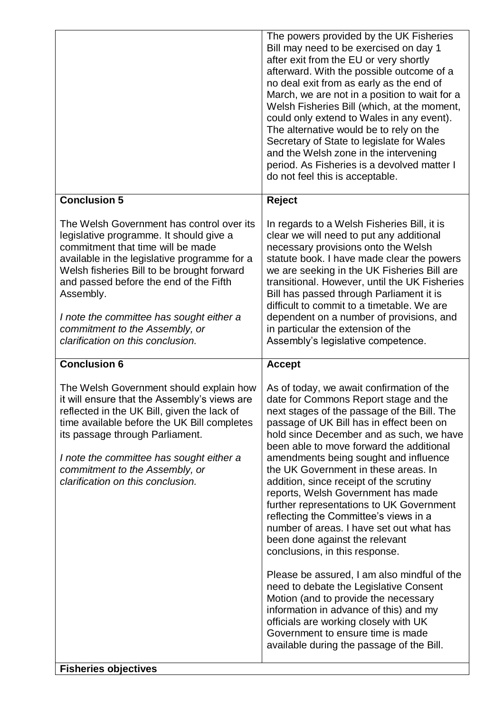|                                                                                                                                                                                                                                                                                                                                                                                                   | The powers provided by the UK Fisheries<br>Bill may need to be exercised on day 1<br>after exit from the EU or very shortly<br>afterward. With the possible outcome of a<br>no deal exit from as early as the end of<br>March, we are not in a position to wait for a<br>Welsh Fisheries Bill (which, at the moment,<br>could only extend to Wales in any event).<br>The alternative would be to rely on the<br>Secretary of State to legislate for Wales<br>and the Welsh zone in the intervening<br>period. As Fisheries is a devolved matter I<br>do not feel this is acceptable.                                                         |
|---------------------------------------------------------------------------------------------------------------------------------------------------------------------------------------------------------------------------------------------------------------------------------------------------------------------------------------------------------------------------------------------------|----------------------------------------------------------------------------------------------------------------------------------------------------------------------------------------------------------------------------------------------------------------------------------------------------------------------------------------------------------------------------------------------------------------------------------------------------------------------------------------------------------------------------------------------------------------------------------------------------------------------------------------------|
| <b>Conclusion 5</b>                                                                                                                                                                                                                                                                                                                                                                               | <b>Reject</b>                                                                                                                                                                                                                                                                                                                                                                                                                                                                                                                                                                                                                                |
| The Welsh Government has control over its<br>legislative programme. It should give a<br>commitment that time will be made<br>available in the legislative programme for a<br>Welsh fisheries Bill to be brought forward<br>and passed before the end of the Fifth<br>Assembly.<br>I note the committee has sought either a<br>commitment to the Assembly, or<br>clarification on this conclusion. | In regards to a Welsh Fisheries Bill, it is<br>clear we will need to put any additional<br>necessary provisions onto the Welsh<br>statute book. I have made clear the powers<br>we are seeking in the UK Fisheries Bill are<br>transitional. However, until the UK Fisheries<br>Bill has passed through Parliament it is<br>difficult to commit to a timetable. We are<br>dependent on a number of provisions, and<br>in particular the extension of the<br>Assembly's legislative competence.                                                                                                                                               |
| <b>Conclusion 6</b>                                                                                                                                                                                                                                                                                                                                                                               | <b>Accept</b>                                                                                                                                                                                                                                                                                                                                                                                                                                                                                                                                                                                                                                |
| The Welsh Government should explain how<br>it will ensure that the Assembly's views are<br>reflected in the UK Bill, given the lack of<br>time available before the UK Bill completes<br>its passage through Parliament.<br>I note the committee has sought either a<br>commitment to the Assembly, or<br>clarification on this conclusion.                                                       | As of today, we await confirmation of the<br>date for Commons Report stage and the<br>next stages of the passage of the Bill. The<br>passage of UK Bill has in effect been on<br>hold since December and as such, we have<br>been able to move forward the additional<br>amendments being sought and influence<br>the UK Government in these areas. In<br>addition, since receipt of the scrutiny<br>reports, Welsh Government has made<br>further representations to UK Government<br>reflecting the Committee's views in a<br>number of areas. I have set out what has<br>been done against the relevant<br>conclusions, in this response. |
| <b>Fisheries objectives</b>                                                                                                                                                                                                                                                                                                                                                                       | Please be assured, I am also mindful of the<br>need to debate the Legislative Consent<br>Motion (and to provide the necessary<br>information in advance of this) and my<br>officials are working closely with UK<br>Government to ensure time is made<br>available during the passage of the Bill.                                                                                                                                                                                                                                                                                                                                           |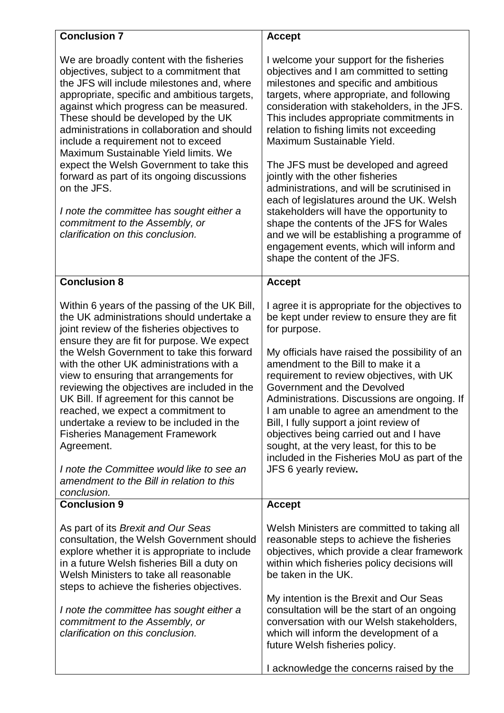| <b>Conclusion 7</b>                                                                                                                                                                                                                                                                                                                                                                                                                                                                                                                                                                                                                                                      | <b>Accept</b>                                                                                                                                                                                                                                                                                                                                                                                                                                                                                                                                                                             |
|--------------------------------------------------------------------------------------------------------------------------------------------------------------------------------------------------------------------------------------------------------------------------------------------------------------------------------------------------------------------------------------------------------------------------------------------------------------------------------------------------------------------------------------------------------------------------------------------------------------------------------------------------------------------------|-------------------------------------------------------------------------------------------------------------------------------------------------------------------------------------------------------------------------------------------------------------------------------------------------------------------------------------------------------------------------------------------------------------------------------------------------------------------------------------------------------------------------------------------------------------------------------------------|
| We are broadly content with the fisheries<br>objectives, subject to a commitment that<br>the JFS will include milestones and, where<br>appropriate, specific and ambitious targets,<br>against which progress can be measured.<br>These should be developed by the UK<br>administrations in collaboration and should<br>include a requirement not to exceed<br>Maximum Sustainable Yield limits. We<br>expect the Welsh Government to take this<br>forward as part of its ongoing discussions<br>on the JFS.<br>I note the committee has sought either a                                                                                                                 | I welcome your support for the fisheries<br>objectives and I am committed to setting<br>milestones and specific and ambitious<br>targets, where appropriate, and following<br>consideration with stakeholders, in the JFS.<br>This includes appropriate commitments in<br>relation to fishing limits not exceeding<br>Maximum Sustainable Yield.<br>The JFS must be developed and agreed<br>jointly with the other fisheries<br>administrations, and will be scrutinised in<br>each of legislatures around the UK. Welsh<br>stakeholders will have the opportunity to                     |
| commitment to the Assembly, or<br>clarification on this conclusion.                                                                                                                                                                                                                                                                                                                                                                                                                                                                                                                                                                                                      | shape the contents of the JFS for Wales<br>and we will be establishing a programme of<br>engagement events, which will inform and<br>shape the content of the JFS.                                                                                                                                                                                                                                                                                                                                                                                                                        |
| <b>Conclusion 8</b>                                                                                                                                                                                                                                                                                                                                                                                                                                                                                                                                                                                                                                                      | <b>Accept</b>                                                                                                                                                                                                                                                                                                                                                                                                                                                                                                                                                                             |
| Within 6 years of the passing of the UK Bill,<br>the UK administrations should undertake a<br>joint review of the fisheries objectives to<br>ensure they are fit for purpose. We expect<br>the Welsh Government to take this forward<br>with the other UK administrations with a<br>view to ensuring that arrangements for<br>reviewing the objectives are included in the<br>UK Bill. If agreement for this cannot be<br>reached, we expect a commitment to<br>undertake a review to be included in the<br><b>Fisheries Management Framework</b><br>Agreement.<br>I note the Committee would like to see an<br>amendment to the Bill in relation to this<br>conclusion. | I agree it is appropriate for the objectives to<br>be kept under review to ensure they are fit<br>for purpose.<br>My officials have raised the possibility of an<br>amendment to the Bill to make it a<br>requirement to review objectives, with UK<br>Government and the Devolved<br>Administrations. Discussions are ongoing. If<br>I am unable to agree an amendment to the<br>Bill, I fully support a joint review of<br>objectives being carried out and I have<br>sought, at the very least, for this to be<br>included in the Fisheries MoU as part of the<br>JFS 6 yearly review. |
| <b>Conclusion 9</b>                                                                                                                                                                                                                                                                                                                                                                                                                                                                                                                                                                                                                                                      | <b>Accept</b>                                                                                                                                                                                                                                                                                                                                                                                                                                                                                                                                                                             |
| As part of its Brexit and Our Seas<br>consultation, the Welsh Government should<br>explore whether it is appropriate to include<br>in a future Welsh fisheries Bill a duty on<br>Welsh Ministers to take all reasonable<br>steps to achieve the fisheries objectives.                                                                                                                                                                                                                                                                                                                                                                                                    | Welsh Ministers are committed to taking all<br>reasonable steps to achieve the fisheries<br>objectives, which provide a clear framework<br>within which fisheries policy decisions will<br>be taken in the UK.<br>My intention is the Brexit and Our Seas                                                                                                                                                                                                                                                                                                                                 |
| I note the committee has sought either a<br>commitment to the Assembly, or<br>clarification on this conclusion.                                                                                                                                                                                                                                                                                                                                                                                                                                                                                                                                                          | consultation will be the start of an ongoing<br>conversation with our Welsh stakeholders,<br>which will inform the development of a<br>future Welsh fisheries policy.                                                                                                                                                                                                                                                                                                                                                                                                                     |
|                                                                                                                                                                                                                                                                                                                                                                                                                                                                                                                                                                                                                                                                          | I acknowledge the concerns raised by the                                                                                                                                                                                                                                                                                                                                                                                                                                                                                                                                                  |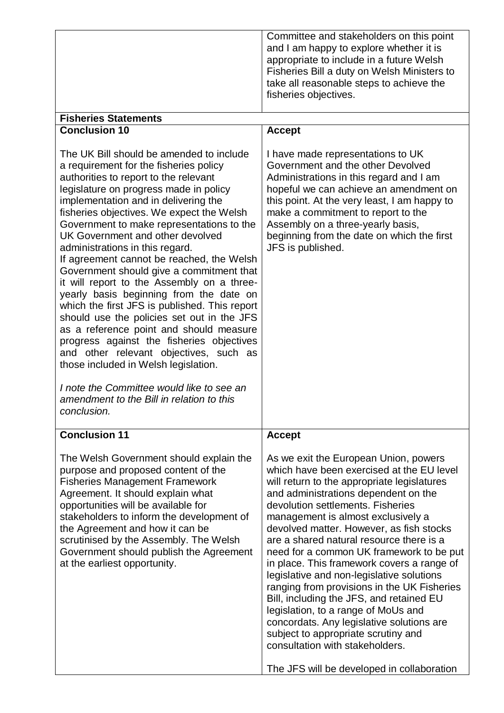| Committee and stakeholders on this point<br>and I am happy to explore whether it is<br>appropriate to include in a future Welsh<br>Fisheries Bill a duty on Welsh Ministers to |
|--------------------------------------------------------------------------------------------------------------------------------------------------------------------------------|
| take all reasonable steps to achieve the<br>fisheries objectives.                                                                                                              |

| <b>Fisheries Statements</b>                                                                                                                                                                                                                                                                                                                                                                                                                                                                                                                                                                                                                                                                                                                                                                                                                                                                                                                        |                                                                                                                                                                                                                                                                                                                                                                                                                                                                                                                                                                                                                                                                                                                                                                                                             |
|----------------------------------------------------------------------------------------------------------------------------------------------------------------------------------------------------------------------------------------------------------------------------------------------------------------------------------------------------------------------------------------------------------------------------------------------------------------------------------------------------------------------------------------------------------------------------------------------------------------------------------------------------------------------------------------------------------------------------------------------------------------------------------------------------------------------------------------------------------------------------------------------------------------------------------------------------|-------------------------------------------------------------------------------------------------------------------------------------------------------------------------------------------------------------------------------------------------------------------------------------------------------------------------------------------------------------------------------------------------------------------------------------------------------------------------------------------------------------------------------------------------------------------------------------------------------------------------------------------------------------------------------------------------------------------------------------------------------------------------------------------------------------|
| <b>Conclusion 10</b>                                                                                                                                                                                                                                                                                                                                                                                                                                                                                                                                                                                                                                                                                                                                                                                                                                                                                                                               | <b>Accept</b>                                                                                                                                                                                                                                                                                                                                                                                                                                                                                                                                                                                                                                                                                                                                                                                               |
| The UK Bill should be amended to include<br>a requirement for the fisheries policy<br>authorities to report to the relevant<br>legislature on progress made in policy<br>implementation and in delivering the<br>fisheries objectives. We expect the Welsh<br>Government to make representations to the<br>UK Government and other devolved<br>administrations in this regard.<br>If agreement cannot be reached, the Welsh<br>Government should give a commitment that<br>it will report to the Assembly on a three-<br>yearly basis beginning from the date on<br>which the first JFS is published. This report<br>should use the policies set out in the JFS<br>as a reference point and should measure<br>progress against the fisheries objectives<br>and other relevant objectives, such as<br>those included in Welsh legislation.<br>I note the Committee would like to see an<br>amendment to the Bill in relation to this<br>conclusion. | I have made representations to UK<br>Government and the other Devolved<br>Administrations in this regard and I am<br>hopeful we can achieve an amendment on<br>this point. At the very least, I am happy to<br>make a commitment to report to the<br>Assembly on a three-yearly basis,<br>beginning from the date on which the first<br>JFS is published.                                                                                                                                                                                                                                                                                                                                                                                                                                                   |
| <b>Conclusion 11</b><br>The Welsh Government should explain the<br>purpose and proposed content of the<br><b>Fisheries Management Framework</b><br>Agreement. It should explain what<br>opportunities will be available for<br>stakeholders to inform the development of<br>the Agreement and how it can be<br>scrutinised by the Assembly. The Welsh<br>Government should publish the Agreement<br>at the earliest opportunity.                                                                                                                                                                                                                                                                                                                                                                                                                                                                                                                   | <b>Accept</b><br>As we exit the European Union, powers<br>which have been exercised at the EU level<br>will return to the appropriate legislatures<br>and administrations dependent on the<br>devolution settlements. Fisheries<br>management is almost exclusively a<br>devolved matter. However, as fish stocks<br>are a shared natural resource there is a<br>need for a common UK framework to be put<br>in place. This framework covers a range of<br>legislative and non-legislative solutions<br>ranging from provisions in the UK Fisheries<br>Bill, including the JFS, and retained EU<br>legislation, to a range of MoUs and<br>concordats. Any legislative solutions are<br>subject to appropriate scrutiny and<br>consultation with stakeholders.<br>The JFS will be developed in collaboration |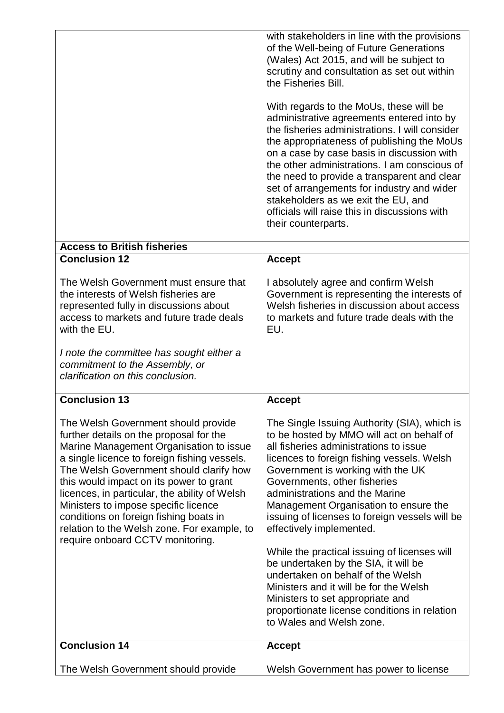|                                                                                                                                                                                                                                                                                                                                                                                                                                                                                       | with stakeholders in line with the provisions<br>of the Well-being of Future Generations<br>(Wales) Act 2015, and will be subject to<br>scrutiny and consultation as set out within<br>the Fisheries Bill.<br>With regards to the MoUs, these will be<br>administrative agreements entered into by<br>the fisheries administrations. I will consider<br>the appropriateness of publishing the MoUs<br>on a case by case basis in discussion with<br>the other administrations. I am conscious of<br>the need to provide a transparent and clear<br>set of arrangements for industry and wider<br>stakeholders as we exit the EU, and<br>officials will raise this in discussions with<br>their counterparts. |
|---------------------------------------------------------------------------------------------------------------------------------------------------------------------------------------------------------------------------------------------------------------------------------------------------------------------------------------------------------------------------------------------------------------------------------------------------------------------------------------|--------------------------------------------------------------------------------------------------------------------------------------------------------------------------------------------------------------------------------------------------------------------------------------------------------------------------------------------------------------------------------------------------------------------------------------------------------------------------------------------------------------------------------------------------------------------------------------------------------------------------------------------------------------------------------------------------------------|
| <b>Access to British fisheries</b><br><b>Conclusion 12</b>                                                                                                                                                                                                                                                                                                                                                                                                                            | <b>Accept</b>                                                                                                                                                                                                                                                                                                                                                                                                                                                                                                                                                                                                                                                                                                |
| The Welsh Government must ensure that<br>the interests of Welsh fisheries are<br>represented fully in discussions about<br>access to markets and future trade deals<br>with the EU.<br>I note the committee has sought either a<br>commitment to the Assembly, or<br>clarification on this conclusion.                                                                                                                                                                                | I absolutely agree and confirm Welsh<br>Government is representing the interests of<br>Welsh fisheries in discussion about access<br>to markets and future trade deals with the<br>EU.                                                                                                                                                                                                                                                                                                                                                                                                                                                                                                                       |
| <b>Conclusion 13</b>                                                                                                                                                                                                                                                                                                                                                                                                                                                                  | <b>Accept</b>                                                                                                                                                                                                                                                                                                                                                                                                                                                                                                                                                                                                                                                                                                |
| The Welsh Government should provide<br>further details on the proposal for the<br>Marine Management Organisation to issue<br>a single licence to foreign fishing vessels.<br>The Welsh Government should clarify how<br>this would impact on its power to grant<br>licences, in particular, the ability of Welsh<br>Ministers to impose specific licence<br>conditions on foreign fishing boats in<br>relation to the Welsh zone. For example, to<br>require onboard CCTV monitoring. | The Single Issuing Authority (SIA), which is<br>to be hosted by MMO will act on behalf of<br>all fisheries administrations to issue<br>licences to foreign fishing vessels. Welsh<br>Government is working with the UK<br>Governments, other fisheries<br>administrations and the Marine<br>Management Organisation to ensure the<br>issuing of licenses to foreign vessels will be<br>effectively implemented.<br>While the practical issuing of licenses will<br>be undertaken by the SIA, it will be<br>undertaken on behalf of the Welsh<br>Ministers and it will be for the Welsh                                                                                                                       |
|                                                                                                                                                                                                                                                                                                                                                                                                                                                                                       | Ministers to set appropriate and<br>proportionate license conditions in relation<br>to Wales and Welsh zone.                                                                                                                                                                                                                                                                                                                                                                                                                                                                                                                                                                                                 |
| <b>Conclusion 14</b>                                                                                                                                                                                                                                                                                                                                                                                                                                                                  | <b>Accept</b>                                                                                                                                                                                                                                                                                                                                                                                                                                                                                                                                                                                                                                                                                                |
| The Welsh Government should provide                                                                                                                                                                                                                                                                                                                                                                                                                                                   | Welsh Government has power to license                                                                                                                                                                                                                                                                                                                                                                                                                                                                                                                                                                                                                                                                        |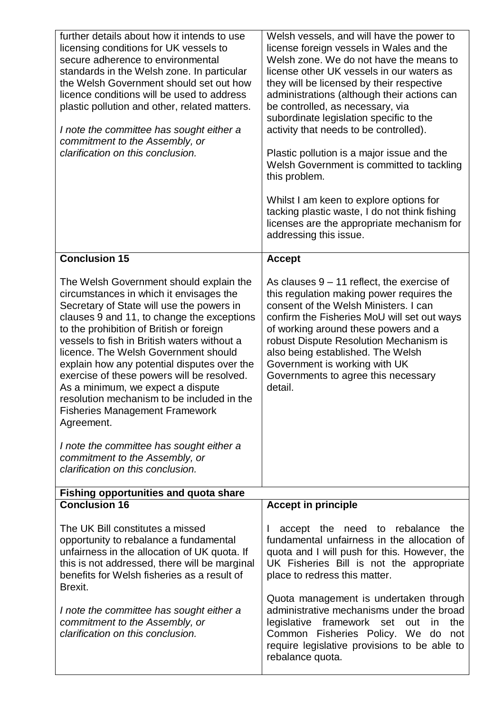| further details about how it intends to use<br>licensing conditions for UK vessels to<br>secure adherence to environmental<br>standards in the Welsh zone. In particular<br>the Welsh Government should set out how<br>licence conditions will be used to address<br>plastic pollution and other, related matters.<br>I note the committee has sought either a<br>commitment to the Assembly, or<br>clarification on this conclusion.                                                                                                                                                                                                                                      | Welsh vessels, and will have the power to<br>license foreign vessels in Wales and the<br>Welsh zone. We do not have the means to<br>license other UK vessels in our waters as<br>they will be licensed by their respective<br>administrations (although their actions can<br>be controlled, as necessary, via<br>subordinate legislation specific to the<br>activity that needs to be controlled).<br>Plastic pollution is a major issue and the<br>Welsh Government is committed to tackling<br>this problem.<br>Whilst I am keen to explore options for<br>tacking plastic waste, I do not think fishing<br>licenses are the appropriate mechanism for<br>addressing this issue. |
|----------------------------------------------------------------------------------------------------------------------------------------------------------------------------------------------------------------------------------------------------------------------------------------------------------------------------------------------------------------------------------------------------------------------------------------------------------------------------------------------------------------------------------------------------------------------------------------------------------------------------------------------------------------------------|------------------------------------------------------------------------------------------------------------------------------------------------------------------------------------------------------------------------------------------------------------------------------------------------------------------------------------------------------------------------------------------------------------------------------------------------------------------------------------------------------------------------------------------------------------------------------------------------------------------------------------------------------------------------------------|
| <b>Conclusion 15</b>                                                                                                                                                                                                                                                                                                                                                                                                                                                                                                                                                                                                                                                       | <b>Accept</b>                                                                                                                                                                                                                                                                                                                                                                                                                                                                                                                                                                                                                                                                      |
| The Welsh Government should explain the<br>circumstances in which it envisages the<br>Secretary of State will use the powers in<br>clauses 9 and 11, to change the exceptions<br>to the prohibition of British or foreign<br>vessels to fish in British waters without a<br>licence. The Welsh Government should<br>explain how any potential disputes over the<br>exercise of these powers will be resolved.<br>As a minimum, we expect a dispute<br>resolution mechanism to be included in the<br><b>Fisheries Management Framework</b><br>Agreement.<br>I note the committee has sought either a<br>commitment to the Assembly, or<br>clarification on this conclusion. | As clauses $9 - 11$ reflect, the exercise of<br>this regulation making power requires the<br>consent of the Welsh Ministers. I can<br>confirm the Fisheries MoU will set out ways<br>of working around these powers and a<br>robust Dispute Resolution Mechanism is<br>also being established. The Welsh<br>Government is working with UK<br>Governments to agree this necessary<br>detail.                                                                                                                                                                                                                                                                                        |
| <b>Fishing opportunities and quota share</b><br><b>Conclusion 16</b>                                                                                                                                                                                                                                                                                                                                                                                                                                                                                                                                                                                                       | <b>Accept in principle</b>                                                                                                                                                                                                                                                                                                                                                                                                                                                                                                                                                                                                                                                         |
| The UK Bill constitutes a missed<br>opportunity to rebalance a fundamental<br>unfairness in the allocation of UK quota. If<br>this is not addressed, there will be marginal<br>benefits for Welsh fisheries as a result of<br>Brexit.<br>I note the committee has sought either a<br>commitment to the Assembly, or<br>clarification on this conclusion.                                                                                                                                                                                                                                                                                                                   | accept the need to rebalance the<br>fundamental unfairness in the allocation of<br>quota and I will push for this. However, the<br>UK Fisheries Bill is not the appropriate<br>place to redress this matter.<br>Quota management is undertaken through<br>administrative mechanisms under the broad<br>legislative framework set out in the<br>Common Fisheries Policy. We do<br>not<br>require legislative provisions to be able to<br>rebalance quota.                                                                                                                                                                                                                           |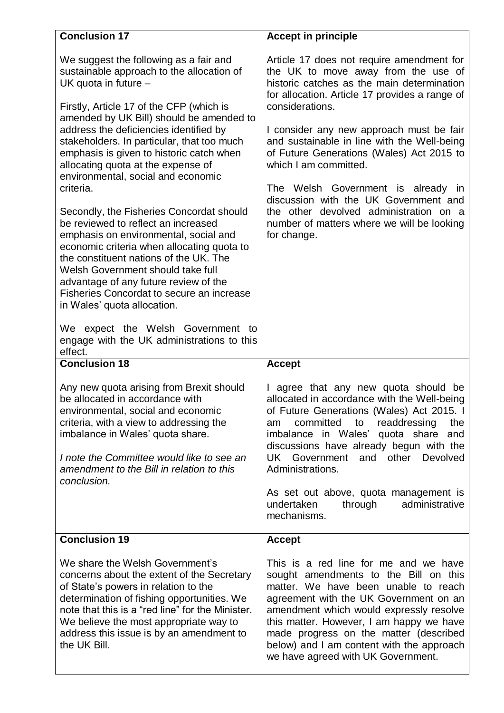| <b>Conclusion 17</b>                                                                                                                                                                                                                                                                                                                                                       | <b>Accept in principle</b>                                                                                                                                                                                                                                                                                                                                                           |
|----------------------------------------------------------------------------------------------------------------------------------------------------------------------------------------------------------------------------------------------------------------------------------------------------------------------------------------------------------------------------|--------------------------------------------------------------------------------------------------------------------------------------------------------------------------------------------------------------------------------------------------------------------------------------------------------------------------------------------------------------------------------------|
| We suggest the following as a fair and<br>sustainable approach to the allocation of<br>UK quota in future -                                                                                                                                                                                                                                                                | Article 17 does not require amendment for<br>the UK to move away from the use of<br>historic catches as the main determination<br>for allocation. Article 17 provides a range of                                                                                                                                                                                                     |
| Firstly, Article 17 of the CFP (which is<br>amended by UK Bill) should be amended to                                                                                                                                                                                                                                                                                       | considerations.                                                                                                                                                                                                                                                                                                                                                                      |
| address the deficiencies identified by<br>stakeholders. In particular, that too much<br>emphasis is given to historic catch when<br>allocating quota at the expense of<br>environmental, social and economic                                                                                                                                                               | I consider any new approach must be fair<br>and sustainable in line with the Well-being<br>of Future Generations (Wales) Act 2015 to<br>which I am committed.                                                                                                                                                                                                                        |
| criteria.                                                                                                                                                                                                                                                                                                                                                                  | The Welsh Government is already in<br>discussion with the UK Government and                                                                                                                                                                                                                                                                                                          |
| Secondly, the Fisheries Concordat should<br>be reviewed to reflect an increased<br>emphasis on environmental, social and<br>economic criteria when allocating quota to<br>the constituent nations of the UK. The<br>Welsh Government should take full<br>advantage of any future review of the<br>Fisheries Concordat to secure an increase<br>in Wales' quota allocation. | the other devolved administration on a<br>number of matters where we will be looking<br>for change.                                                                                                                                                                                                                                                                                  |
| We expect the Welsh Government<br>to<br>engage with the UK administrations to this<br>effect.                                                                                                                                                                                                                                                                              |                                                                                                                                                                                                                                                                                                                                                                                      |
| <b>Conclusion 18</b>                                                                                                                                                                                                                                                                                                                                                       | <b>Accept</b>                                                                                                                                                                                                                                                                                                                                                                        |
| Any new quota arising from Brexit should<br>be allocated in accordance with<br>environmental, social and economic<br>criteria, with a view to addressing the<br>imbalance in Wales' quota share.<br>I note the Committee would like to see an<br>amendment to the Bill in relation to this<br>conclusion.                                                                  | I agree that any new quota should be<br>allocated in accordance with the Well-being<br>of Future Generations (Wales) Act 2015. I<br>committed<br>to<br>readdressing<br>the<br>am<br>imbalance in Wales' quota share<br>and<br>discussions have already begun with the<br>UK Government<br>and other Devolved<br>Administrations.                                                     |
|                                                                                                                                                                                                                                                                                                                                                                            | As set out above, quota management is<br>administrative<br>undertaken<br>through<br>mechanisms.                                                                                                                                                                                                                                                                                      |
| <b>Conclusion 19</b>                                                                                                                                                                                                                                                                                                                                                       | <b>Accept</b>                                                                                                                                                                                                                                                                                                                                                                        |
| We share the Welsh Government's<br>concerns about the extent of the Secretary<br>of State's powers in relation to the<br>determination of fishing opportunities. We<br>note that this is a "red line" for the Minister.<br>We believe the most appropriate way to<br>address this issue is by an amendment to<br>the UK Bill.                                              | This is a red line for me and we have<br>sought amendments to the Bill on this<br>matter. We have been unable to reach<br>agreement with the UK Government on an<br>amendment which would expressly resolve<br>this matter. However, I am happy we have<br>made progress on the matter (described<br>below) and I am content with the approach<br>we have agreed with UK Government. |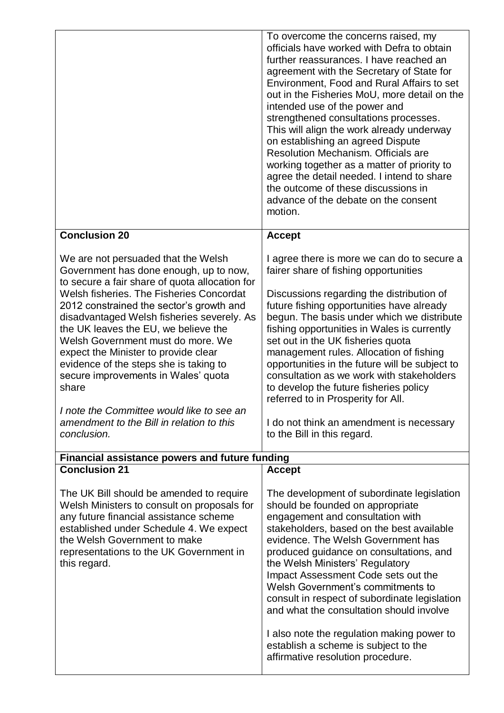|                                                                                                                                                                                                                                                                                                                                                   | To overcome the concerns raised, my<br>officials have worked with Defra to obtain<br>further reassurances. I have reached an<br>agreement with the Secretary of State for<br>Environment, Food and Rural Affairs to set<br>out in the Fisheries MoU, more detail on the<br>intended use of the power and<br>strengthened consultations processes.<br>This will align the work already underway<br>on establishing an agreed Dispute<br>Resolution Mechanism, Officials are<br>working together as a matter of priority to<br>agree the detail needed. I intend to share<br>the outcome of these discussions in<br>advance of the debate on the consent<br>motion. |
|---------------------------------------------------------------------------------------------------------------------------------------------------------------------------------------------------------------------------------------------------------------------------------------------------------------------------------------------------|-------------------------------------------------------------------------------------------------------------------------------------------------------------------------------------------------------------------------------------------------------------------------------------------------------------------------------------------------------------------------------------------------------------------------------------------------------------------------------------------------------------------------------------------------------------------------------------------------------------------------------------------------------------------|
| <b>Conclusion 20</b>                                                                                                                                                                                                                                                                                                                              | <b>Accept</b>                                                                                                                                                                                                                                                                                                                                                                                                                                                                                                                                                                                                                                                     |
| We are not persuaded that the Welsh<br>Government has done enough, up to now,<br>to secure a fair share of quota allocation for                                                                                                                                                                                                                   | I agree there is more we can do to secure a<br>fairer share of fishing opportunities                                                                                                                                                                                                                                                                                                                                                                                                                                                                                                                                                                              |
| Welsh fisheries. The Fisheries Concordat<br>2012 constrained the sector's growth and<br>disadvantaged Welsh fisheries severely. As<br>the UK leaves the EU, we believe the<br>Welsh Government must do more. We<br>expect the Minister to provide clear<br>evidence of the steps she is taking to<br>secure improvements in Wales' quota<br>share | Discussions regarding the distribution of<br>future fishing opportunities have already<br>begun. The basis under which we distribute<br>fishing opportunities in Wales is currently<br>set out in the UK fisheries quota<br>management rules. Allocation of fishing<br>opportunities in the future will be subject to<br>consultation as we work with stakeholders<br>to develop the future fisheries policy<br>referred to in Prosperity for All.                                                                                                                                                                                                                |
| I note the Committee would like to see an<br>amendment to the Bill in relation to this<br>conclusion.                                                                                                                                                                                                                                             | I do not think an amendment is necessary<br>to the Bill in this regard.                                                                                                                                                                                                                                                                                                                                                                                                                                                                                                                                                                                           |
| <b>Financial assistance powers and future funding</b>                                                                                                                                                                                                                                                                                             |                                                                                                                                                                                                                                                                                                                                                                                                                                                                                                                                                                                                                                                                   |
| <b>Conclusion 21</b>                                                                                                                                                                                                                                                                                                                              | <b>Accept</b>                                                                                                                                                                                                                                                                                                                                                                                                                                                                                                                                                                                                                                                     |
| The UK Bill should be amended to require<br>Welsh Ministers to consult on proposals for<br>any future financial assistance scheme<br>established under Schedule 4. We expect<br>the Welsh Government to make<br>representations to the UK Government in<br>this regard.                                                                           | The development of subordinate legislation<br>should be founded on appropriate<br>engagement and consultation with<br>stakeholders, based on the best available<br>evidence. The Welsh Government has<br>produced guidance on consultations, and<br>the Welsh Ministers' Regulatory<br>Impact Assessment Code sets out the<br>Welsh Government's commitments to<br>consult in respect of subordinate legislation<br>and what the consultation should involve<br>I also note the regulation making power to<br>establish a scheme is subject to the<br>affirmative resolution procedure.                                                                           |
|                                                                                                                                                                                                                                                                                                                                                   |                                                                                                                                                                                                                                                                                                                                                                                                                                                                                                                                                                                                                                                                   |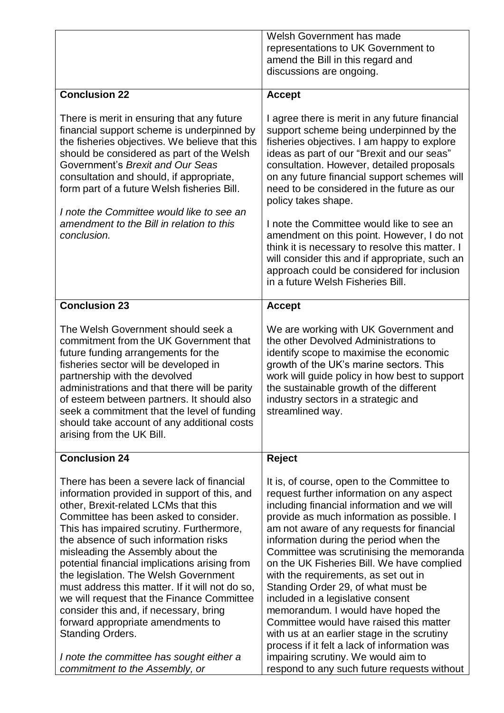|                                                                                                                                                                                                                                                                                                                                                                                                                                                                                                                                                                                                                                                | Welsh Government has made<br>representations to UK Government to<br>amend the Bill in this regard and<br>discussions are ongoing.                                                                                                                                                                                                                                                                                                                                                                                                                                                                                                                                                                                |
|------------------------------------------------------------------------------------------------------------------------------------------------------------------------------------------------------------------------------------------------------------------------------------------------------------------------------------------------------------------------------------------------------------------------------------------------------------------------------------------------------------------------------------------------------------------------------------------------------------------------------------------------|------------------------------------------------------------------------------------------------------------------------------------------------------------------------------------------------------------------------------------------------------------------------------------------------------------------------------------------------------------------------------------------------------------------------------------------------------------------------------------------------------------------------------------------------------------------------------------------------------------------------------------------------------------------------------------------------------------------|
| <b>Conclusion 22</b>                                                                                                                                                                                                                                                                                                                                                                                                                                                                                                                                                                                                                           | <b>Accept</b>                                                                                                                                                                                                                                                                                                                                                                                                                                                                                                                                                                                                                                                                                                    |
| There is merit in ensuring that any future<br>financial support scheme is underpinned by<br>the fisheries objectives. We believe that this<br>should be considered as part of the Welsh<br>Government's Brexit and Our Seas<br>consultation and should, if appropriate,<br>form part of a future Welsh fisheries Bill.<br>I note the Committee would like to see an<br>amendment to the Bill in relation to this<br>conclusion.                                                                                                                                                                                                                | I agree there is merit in any future financial<br>support scheme being underpinned by the<br>fisheries objectives. I am happy to explore<br>ideas as part of our "Brexit and our seas"<br>consultation. However, detailed proposals<br>on any future financial support schemes will<br>need to be considered in the future as our<br>policy takes shape.<br>I note the Committee would like to see an<br>amendment on this point. However, I do not<br>think it is necessary to resolve this matter. I<br>will consider this and if appropriate, such an<br>approach could be considered for inclusion<br>in a future Welsh Fisheries Bill.                                                                      |
|                                                                                                                                                                                                                                                                                                                                                                                                                                                                                                                                                                                                                                                |                                                                                                                                                                                                                                                                                                                                                                                                                                                                                                                                                                                                                                                                                                                  |
| <b>Conclusion 23</b>                                                                                                                                                                                                                                                                                                                                                                                                                                                                                                                                                                                                                           | <b>Accept</b>                                                                                                                                                                                                                                                                                                                                                                                                                                                                                                                                                                                                                                                                                                    |
| The Welsh Government should seek a<br>commitment from the UK Government that<br>future funding arrangements for the<br>fisheries sector will be developed in<br>partnership with the devolved<br>administrations and that there will be parity<br>of esteem between partners. It should also<br>seek a commitment that the level of funding<br>should take account of any additional costs<br>arising from the UK Bill.                                                                                                                                                                                                                        | We are working with UK Government and<br>the other Devolved Administrations to<br>identify scope to maximise the economic<br>growth of the UK's marine sectors. This<br>work will guide policy in how best to support<br>the sustainable growth of the different<br>industry sectors in a strategic and<br>streamlined way.                                                                                                                                                                                                                                                                                                                                                                                      |
| <b>Conclusion 24</b>                                                                                                                                                                                                                                                                                                                                                                                                                                                                                                                                                                                                                           | <b>Reject</b>                                                                                                                                                                                                                                                                                                                                                                                                                                                                                                                                                                                                                                                                                                    |
| There has been a severe lack of financial<br>information provided in support of this, and<br>other, Brexit-related LCMs that this<br>Committee has been asked to consider.<br>This has impaired scrutiny. Furthermore,<br>the absence of such information risks<br>misleading the Assembly about the<br>potential financial implications arising from<br>the legislation. The Welsh Government<br>must address this matter. If it will not do so,<br>we will request that the Finance Committee<br>consider this and, if necessary, bring<br>forward appropriate amendments to<br>Standing Orders.<br>I note the committee has sought either a | It is, of course, open to the Committee to<br>request further information on any aspect<br>including financial information and we will<br>provide as much information as possible. I<br>am not aware of any requests for financial<br>information during the period when the<br>Committee was scrutinising the memoranda<br>on the UK Fisheries Bill. We have complied<br>with the requirements, as set out in<br>Standing Order 29, of what must be<br>included in a legislative consent<br>memorandum. I would have hoped the<br>Committee would have raised this matter<br>with us at an earlier stage in the scrutiny<br>process if it felt a lack of information was<br>impairing scrutiny. We would aim to |
| commitment to the Assembly, or                                                                                                                                                                                                                                                                                                                                                                                                                                                                                                                                                                                                                 | respond to any such future requests without                                                                                                                                                                                                                                                                                                                                                                                                                                                                                                                                                                                                                                                                      |